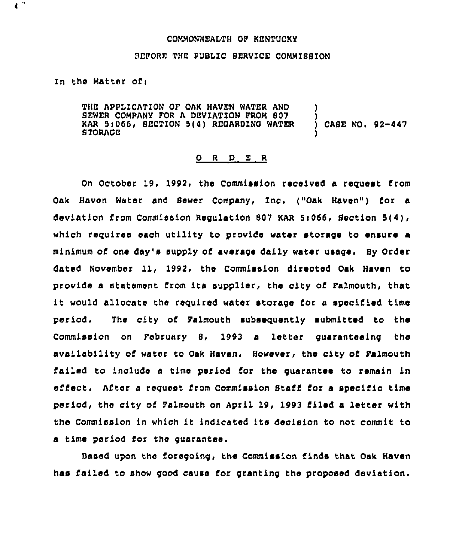## COMMONWEAITH OP KENTUCKY

## BEFORE THE PUBLIC SERVICE COMMISSION

## In the Matter of:

 $\bullet$ 

THE APPLICATION OF OAK HAVEN WATER AND SEWER COMPANY FOR A DEVIATION PROM 807 KAR 5:066, SECTION 5(4) REGARDING WATER STORAGE ) ) CASE NO. 92-447 )

## 0 <sup>R</sup> <sup>D</sup> <sup>E</sup> <sup>R</sup>

On October 19, 1992, the Commission received a request from Oak Haven Water and Sewer Company, Inc. ("Oak Haven") for a deviation from Commission Regulation 807 KAR Si066, Section 5{4), which requires each utility to provide water storage to ensure a minimum of one day's supply of average daily water usage. By Order dated November 11, 1992, the Commission directed Oak Haven to provide a statement from its supplier, the city of Palmouth, that it would allocate the required water storage for <sup>a</sup> specified time period. The city of Falmouth subsequently submitted to the Commission on Pobruary S, 1993 a letter guaranteeing the availability of water to Oak Haven, However, the city of Palmouth failed to include a time period for the guarantee to remain in efiect. After <sup>a</sup> request from Commission Staff for <sup>a</sup> specific time period, the city of Palmouth on April 19, 1993 filed a letter with the Commission in which it indicated its decision to not commit to a time period for the guarantee.

Based upon the foregoing, the Commission finds that Oak Haven has failed to show good cause for granting the proposed deviation.